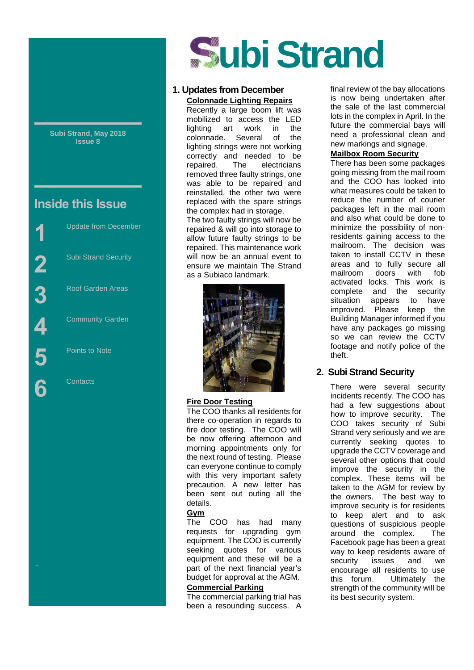**Subi Strand, May 2018 Issue 8**

## **Inside this Issue**



Street

# **ubi Strand**

#### **1. Updates from December Colonnade Lighting Repairs**

Recently a large boom lift was mobilized to access the LED lighting art work in the colonnade. Several of the lighting strings were not working correctly and needed to be repaired. The electricians removed three faulty strings, one was able to be repaired and reinstalled, the other two were replaced with the spare strings the complex had in storage.

The two faulty strings will now be repaired & will go into storage to allow future faulty strings to be repaired. This maintenance work will now be an annual event to ensure we maintain The Strand as a Subiaco landmark.



#### **Fire Door Testing**

The COO thanks all residents for there co-operation in regards to fire door testing. The COO will be now offering afternoon and morning appointments only for the next round of testing. Please can everyone continue to comply with this very important safety precaution. A new letter has been sent out outing all the details.

#### **Gym**

The COO has had many requests for upgrading gym equipment. The COO is currently seeking quotes for various equipment and these will be a part of the next financial year's budget for approval at the AGM.

#### **Commercial Parking**

The commercial parking trial has been a resounding success. A final review of the bay allocations is now being undertaken after the sale of the last commercial lots in the complex in April. In the future the commercial bays will need a professional clean and new markings and signage.

#### **Mailbox Room Security**

There has been some packages going missing from the mail room and the COO has looked into what measures could be taken to reduce the number of courier packages left in the mail room and also what could be done to minimize the possibility of nonresidents gaining access to the mailroom. The decision was taken to install CCTV in these areas and to fully secure all mailroom doors with fob activated locks. This work is complete and the security situation appears to have improved. Please keep the Building Manager informed if you have any packages go missing so we can review the CCTV footage and notify police of the theft.

#### **2. Subi Strand Security**

There were several security incidents recently. The COO has had a few suggestions about how to improve security. The COO takes security of Subi Strand very seriously and we are currently seeking quotes to upgrade the CCTV coverage and several other options that could improve the security in the complex. These items will be taken to the AGM for review by the owners. The best way to improve security is for residents to keep alert and to ask questions of suspicious people around the complex. The Facebook page has been a great way to keep residents aware of security issues and we encourage all residents to use this forum. Ultimately the strength of the community will be its best security system.